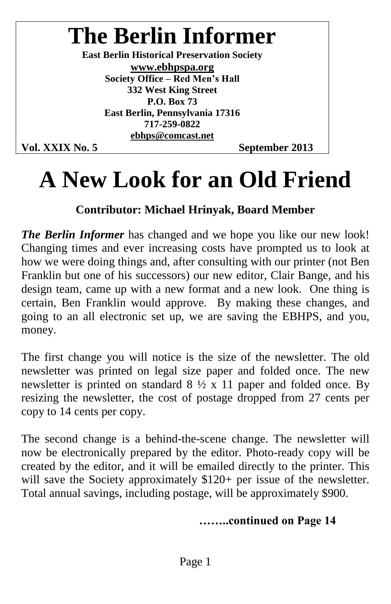## **The Berlin Informer**

**East Berlin Historical Preservation Society www.ebhpspa.org Society Office – Red Men's Hall 332 West King Street P.O. Box 73 East Berlin, Pennsylvania 17316 717-259-0822 ebhps@comcast.net**

Vol. XXIX No. 5 September 2013

### **A New Look for an Old Friend**

#### **Contributor: Michael Hrinyak, Board Member**

*The Berlin Informer* has changed and we hope you like our new look! Changing times and ever increasing costs have prompted us to look at how we were doing things and, after consulting with our printer (not Ben Franklin but one of his successors) our new editor, Clair Bange, and his design team, came up with a new format and a new look. One thing is certain, Ben Franklin would approve. By making these changes, and going to an all electronic set up, we are saving the EBHPS, and you, money.

The first change you will notice is the size of the newsletter. The old newsletter was printed on legal size paper and folded once. The new newsletter is printed on standard  $8 \frac{1}{2} \times 11$  paper and folded once. By resizing the newsletter, the cost of postage dropped from 27 cents per copy to 14 cents per copy.

The second change is a behind-the-scene change. The newsletter will now be electronically prepared by the editor. Photo-ready copy will be created by the editor, and it will be emailed directly to the printer. This will save the Society approximately \$120+ per issue of the newsletter. Total annual savings, including postage, will be approximately \$900.

#### **……..continuedonPage14**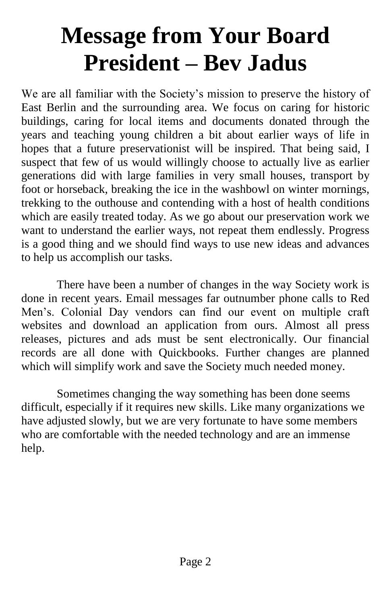# **Message from Your Board President –Bev Jadus**

We are all familiar with the Society's mission to preserve the history of East Berlin and the surrounding area. We focus on caring for historic buildings, caring for local items and documents donated through the years and teaching young children a bit about earlier ways of life in hopes that a future preservationist will be inspired. That being said, I suspect that few of us would willingly choose to actually live as earlier generations did with large families in very small houses, transport by foot or horseback, breaking the ice in the washbowl on winter mornings, trekking to the outhouse and contending with a host of health conditions which are easily treated today. As we go about our preservation work we want to understand the earlier ways, not repeat them endlessly. Progress is a good thing and we should find ways to use new ideas and advances to help us accomplish our tasks.

There have been a number of changes in the way Society work is done in recent years. Email messages far outnumber phone calls to Red Men's. Colonial Day vendors can find our event on multiple craft websites and download an application from ours. Almost all press releases, pictures and ads must be sent electronically. Our financial records are all done with Quickbooks. Further changes are planned which will simplify work and save the Society much needed money.

Sometimes changing the way something has been done seems difficult, especially if it requires new skills. Like many organizations we have adjusted slowly, but we are very fortunate to have some members who are comfortable with the needed technology and are an immense help.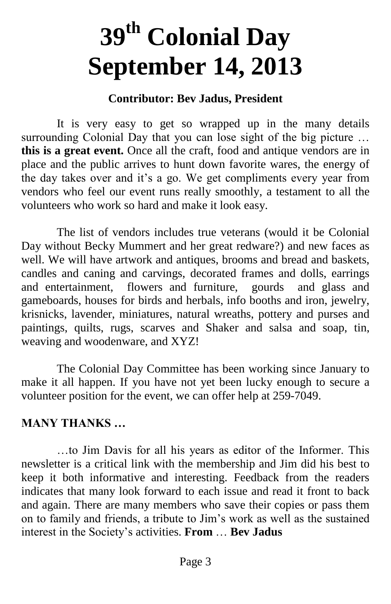# **39th Colonial Day September 14, 2013**

#### **Contributor: Bev Jadus, President**

It is very easy to get so wrapped up in the many details surrounding Colonial Day that you can lose sight of the big picture ... **this is a great event.** Once all the craft, food and antique vendors are in place and the public arrives to hunt down favorite wares, the energy of the day takes over and it's a go. We get compliments every year from vendors who feel our event runs really smoothly, a testament to all the volunteers who work so hard and make it look easy.

The list of vendors includes true veterans (would it be Colonial Day without Becky Mummert and her great redware?) and new faces as well. We will have artwork and antiques, brooms and bread and baskets, candles and caning and carvings, decorated frames and dolls, earrings and entertainment, flowers and furniture, gourds and glass and gameboards, houses for birds and herbals, info booths and iron, jewelry, krisnicks, lavender, miniatures, natural wreaths, pottery and purses and paintings, quilts, rugs, scarves and Shaker and salsa and soap, tin, weaving and woodenware, and XYZ!

The Colonial Day Committee has been working since January to make it all happen. If you have not yet been lucky enough to secure a volunteer position for the event, we can offer help at 259-7049.

#### **MANYTHANKS…**

...to Jim Davis for all his years as editor of the Informer. This newsletter is a critical link with the membership and Jim did his best to keep it both informative and interesting. Feedback from the readers indicates that many look forward to each issue and read it front to back and again. There are many members who save their copies or pass them on to family and friends, a tribute to Jim's work as well as the sustained interestintheSociety'sactivities. **From** … **Bev Jadus**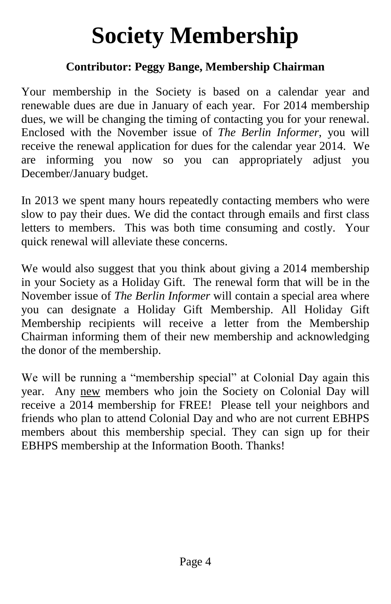# **Society Membership**

#### **Contributor: Peggy Bange, Membership Chairman**

Your membership in the Society is based on a calendar year and renewable dues are due in January of each year. For 2014 membership dues, we will be changing the timing of contacting you for your renewal. Enclosed with the November issue of *The Berlin Informer,* you will receive the renewal application for dues for the calendar year 2014. We are informing you now so you can appropriately adjust you December/January budget.

In 2013 we spent many hours repeatedly contacting members who were slow to pay their dues. We did the contact through emails and first class letters to members. This was both time consuming and costly. Your quick renewal will alleviate these concerns.

We would also suggest that you think about giving a 2014 membership in your Society as a Holiday Gift. The renewal form that will be in the November issue of *The Berlin Informer* will contain a special area where you can designate a Holiday Gift Membership. All Holiday Gift Membership recipients will receive a letter from the Membership Chairman informing them of their new membership and acknowledging the donor of the membership.

We will be running a "membership special" at Colonial Day again this year. Any new members who join the Society on Colonial Day will receive a 2014 membership for FREE! Please tell your neighbors and friends who plan to attend Colonial Day and who are not current EBHPS members about this membership special. They can sign up for their EBHPS membership at the Information Booth. Thanks!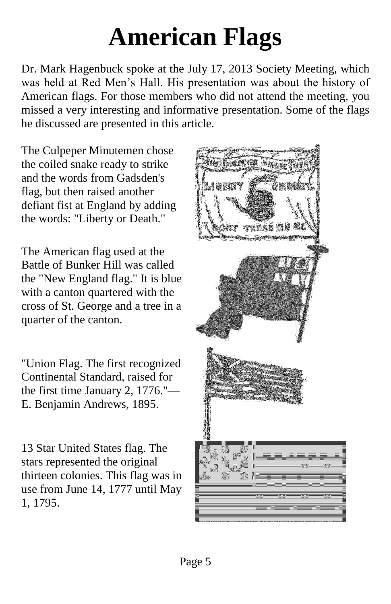# **American Flags**

Dr. Mark Hagenbuck spoke at the July 17, 2013 Society Meeting, which was held at Red Men's Hall. His presentation was about the history of American flags. For those members who did not attend the meeting, you missed a very interesting and informative presentation. Some of the flags he discussed are presented in this article.

The Culpeper Minutemen chose the coiled snake ready to strike and the words from Gadsden's flag, but then raised another defiant fist at England by adding the words: "Liberty or Death."

The American flag used at the Battle of Bunker Hill was called the "New England flag." It is blue with a canton quartered with the cross of St. George and a tree in a quarter of the canton.

"Union Flag. The first recognized Continental Standard, raised for the first time January 2, 1776."— E. Benjamin Andrews, 1895.

13 Star United States flag. The stars represented the original thirteen colonies. This flag was in use from June 14, 1777 until May 1, 1795.

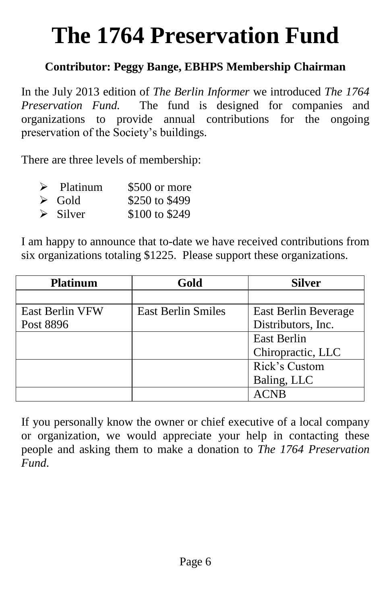# **The 1764 Preservation Fund**

#### **Contributor: Peggy Bange, EBHPS Membership Chairman**

In the July 2013 edition of *The Berlin Informer* we introduced *The 1764 Preservation Fund.* The fund is designed for companies and organizations to provide annual contributions for the ongoing preservation of the Society's buildings.

There are three levels of membership:

| $\triangleright$ Platinum | \$500 or more  |
|---------------------------|----------------|
| $\triangleright$ Gold     | \$250 to \$499 |
| $\triangleright$ Silver   | \$100 to \$249 |

I am happy to announce that to-date we have received contributions from six organizations totaling \$1225. Please support these organizations.

| <b>Platinum</b>        | Gold                      | <b>Silver</b>        |
|------------------------|---------------------------|----------------------|
|                        |                           |                      |
| <b>East Berlin VFW</b> | <b>East Berlin Smiles</b> | East Berlin Beverage |
| Post 8896              |                           | Distributors, Inc.   |
|                        |                           | East Berlin          |
|                        |                           | Chiropractic, LLC    |
|                        |                           | Rick's Custom        |
|                        |                           | Baling, LLC          |
|                        |                           |                      |

If you personally know the owner or chief executive of a local company or organization, we would appreciate your help in contacting these people and asking them to make a donation to *The 1764 Preservation Fund*.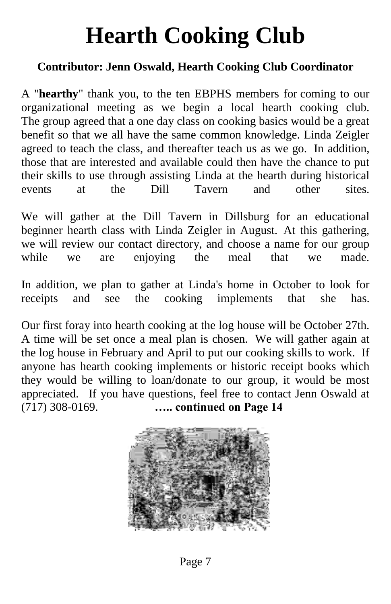# **Hearth Cooking Club**

#### **Contributor: Jenn Oswald, Hearth Cooking Club Coordinator**

A "**hearthy**" thank you, to the ten EBPHS members for coming to our organizational meeting as we begin a local hearth cooking club. The group agreed that a one day class on cooking basics would be a great benefit so that we all have the same common knowledge. Linda Zeigler agreed to teach the class, and thereafter teach us as we go. In addition, those that are interested and available could then have the chance to put their skills to use through assisting Linda at the hearth during historical events at the Dill Tavern and other sites.

We will gather at the Dill Tavern in Dillsburg for an educational beginner hearth class with Linda Zeigler in August. At this gathering, we will review our contact directory, and choose a name for our group while we are enjoying the meal that we made.

In addition, we plan to gather at Linda's home in October to look for receipts and see the cooking implements that she has.

Our first foray into hearth cooking at the log house will be October 27th. A time will be set once a meal plan is chosen. We will gather again at the log house in February and April to put our cooking skills to work. If anyone has hearth cooking implements or historic receipt books which they would be willing to loan/donate to our group, it would be most appreciated. If you have questions, feel free to contact Jenn Oswald at (717) 308-0169. **…..continuedonPage14**



Page 7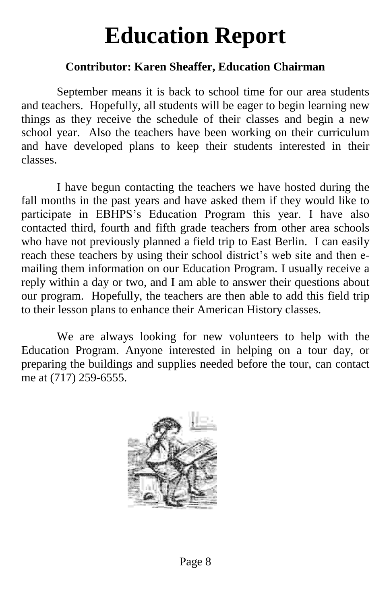# **Education Report**

#### **Contributor: Karen Sheaffer, Education Chairman**

September means it is back to school time for our area students and teachers. Hopefully, all students will be eager to begin learning new things as they receive the schedule of their classes and begin a new school year. Also the teachers have been working on their curriculum and have developed plans to keep their students interested in their classes.

I have begun contacting the teachers we have hosted during the fall months in the past years and have asked them if they would like to participate in EBHPS's Education Program this year. I have also contacted third, fourth and fifth grade teachers from other area schools who have not previously planned a field trip to East Berlin. I can easily reach these teachers by using their school district's web site and then emailing them information on our Education Program. I usually receive a reply within a day or two, and I am able to answer their questions about our program. Hopefully, the teachers are then able to add this field trip to their lesson plans to enhance their American History classes.

We are always looking for new volunteers to help with the Education Program. Anyone interested in helping on a tour day, or preparing the buildings and supplies needed before the tour, can contact me at (717) 259-6555.

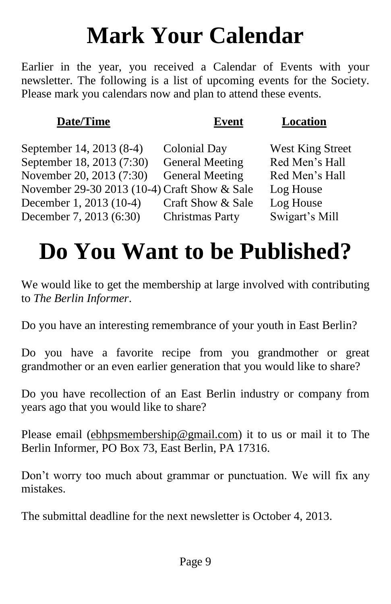# **Mark Your Calendar**

Earlier in the year, you received a Calendar of Events with your newsletter. The following is a list of upcoming events for the Society. Please mark you calendars now and plan to attend these events.

| Date/Time                                    | <b>Event</b>           | Location                |
|----------------------------------------------|------------------------|-------------------------|
| September 14, 2013 (8-4)                     | <b>Colonial Day</b>    | <b>West King Street</b> |
| September 18, 2013 (7:30)                    | <b>General Meeting</b> | Red Men's Hall          |
| November 20, 2013 (7:30)                     | <b>General Meeting</b> | Red Men's Hall          |
| November 29-30 2013 (10-4) Craft Show & Sale |                        | Log House               |
| December 1, 2013 (10-4)                      | Craft Show & Sale      | Log House               |
| December 7, 2013 (6:30)                      | <b>Christmas Party</b> | Swigart's Mill          |
|                                              |                        |                         |

## **Do You Want to be Published?**

We would like to get the membership at large involved with contributing to *The Berlin Informer*.

Do you have an interesting remembrance of your youth in East Berlin?

Do you have a favorite recipe from you grandmother or great grandmother or an even earlier generation that you would like to share?

Do you have recollection of an East Berlin industry or company from years ago that you would like to share?

Please email (ebhpsmembership@gmail.com) it to us or mail it to The Berlin Informer, PO Box 73, East Berlin, PA 17316.

Don't worry too much about grammar or punctuation. We will fix any mistakes.

The submittal deadline for the next newsletter is October 4, 2013.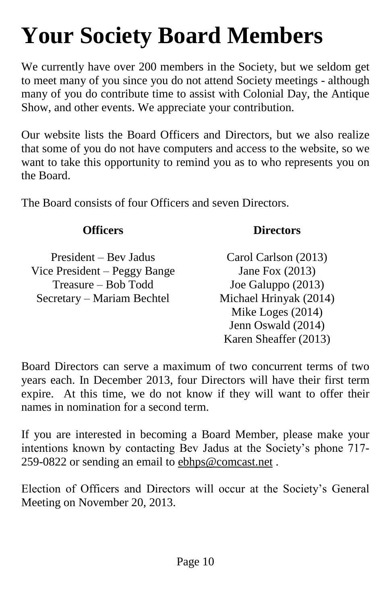# **Your Society Board Members**

We currently have over 200 members in the Society, but we seldom get to meet many of you since you do not attend Society meetings - although many of you do contribute time to assist with Colonial Day, the Antique Show, and other events. We appreciate your contribution.

Our website lists the Board Officers and Directors, but we also realize that some of you do not have computers and access to the website, so we want to take this opportunity to remind you as to who represents you on the Board.

The Board consists of four Officers and seven Directors.

President –Bev Jadus Carol Carlson (2013) Vice President – Peggy Bange Jane Fox (2013) Treasure –Bob Todd Joe Galuppo (2013) Secretary –Mariam Bechtel Michael Hrinyak (2014)

#### **Officers Directors**

Mike Loges (2014) Jenn Oswald (2014) Karen Sheaffer (2013)

Board Directors can serve a maximum of two concurrent terms of two years each. In December 2013, four Directors will have their first term expire. At this time, we do not know if they will want to offer their names in nomination for a second term.

If you are interested in becoming a Board Member, please make your intentions known by contacting Bev Jadus at the Society's phone 717-259-0822 or sending an email to ebhps@comcast.net .

Election of Officers and Directors will occur at the Society's General Meeting on November 20, 2013.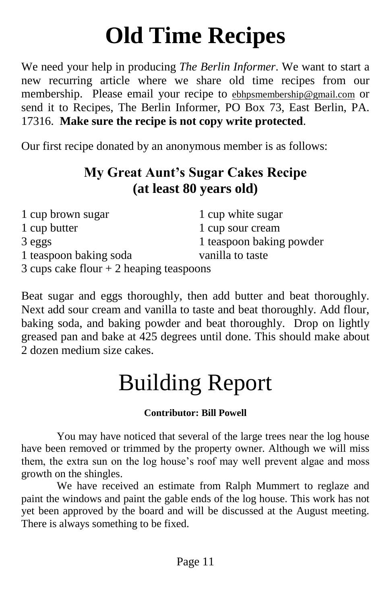# **Old Time Recipes**

We need your help in producing *The Berlin Informer*. We want to start a new recurring article where we share old time recipes from our membership. Please email your recipe to ebhpsmembership@gmail.com or send it to Recipes, The Berlin Informer, PO Box 73, East Berlin, PA. 17316. **Make sure the recipe is not copy write protected**.

Our first recipe donated by an anonymous member is as follows:

### **My Great Aunt's Sugar Cakes Recipe (at least 80 years old)**

| 1 cup brown sugar                        | 1 cup white sugar        |  |  |  |
|------------------------------------------|--------------------------|--|--|--|
| 1 cup butter                             | 1 cup sour cream         |  |  |  |
| 3 eggs                                   | 1 teaspoon baking powder |  |  |  |
| 1 teaspoon baking soda                   | vanilla to taste         |  |  |  |
| 3 cups cake flour $+2$ heaping teaspoons |                          |  |  |  |

Beat sugar and eggs thoroughly, then add butter and beat thoroughly. Next add sour cream and vanilla to taste and beat thoroughly. Add flour, baking soda, and baking powder and beat thoroughly. Drop on lightly greased pan and bake at 425 degrees until done. This should make about 2 dozen medium size cakes.

# Building Report

#### **Contributor: Bill Powell**

You may have noticed that several of the large trees near the log house have been removed or trimmed by the property owner. Although we will miss them, the extra sun on the log house's roof may well prevent algae and moss growth on the shingles.

We have received an estimate from Ralph Mummert to reglaze and paint the windows and paint the gable ends of the log house. This work has not yet been approved by the board and will be discussed at the August meeting. There is always something to be fixed.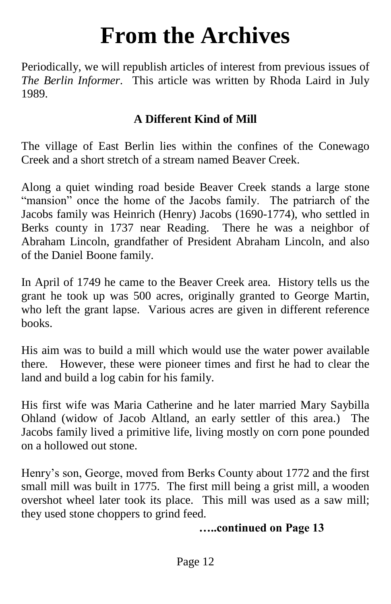### **From the Archives**

Periodically, we will republish articles of interest from previous issues of *The Berlin Informer*. This article was written by Rhoda Laird in July 1989.

#### **A Different Kind of Mill**

The village of East Berlin lies within the confines of the Conewago Creek and a short stretch of a stream named Beaver Creek.

Along a quiet winding road beside Beaver Creek stands a large stone "mansion" once the home of the Jacobs family. The patriarch of the Jacobs family was Heinrich (Henry) Jacobs (1690-1774), who settled in Berks county in 1737 near Reading. There he was a neighbor of Abraham Lincoln, grandfather of President Abraham Lincoln, and also of the Daniel Boone family.

In April of 1749 he came to the Beaver Creek area. History tells us the grant he took up was 500 acres, originally granted to George Martin, who left the grant lapse. Various acres are given in different reference books.

His aim was to build a mill which would use the water power available there. However, these were pioneer times and first he had to clear the land and build a log cabin for his family.

His first wife was Maria Catherine and he later married Mary Saybilla Ohland (widow of Jacob Altland, an early settler of this area.) The Jacobs family lived a primitive life, living mostly on corn pone pounded on a hollowed out stone.

Henry's son, George, moved from Berks County about 1772 and the first small mill was built in 1775. The first mill being a grist mill, a wooden overshot wheel later took its place. This mill was used as a saw mill; they used stone choppers to grind feed.

#### **…..continuedonPage13**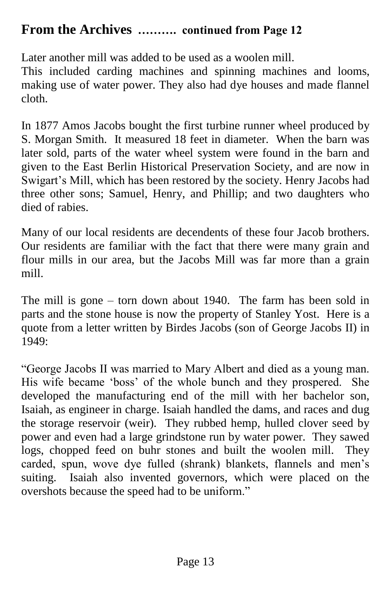#### **From the Archives .......... continued from Page 12**

Later another mill was added to be used as a woolen mill.

This included carding machines and spinning machines and looms, making use of water power. They also had dye houses and made flannel cloth.

In 1877 Amos Jacobs bought the first turbine runner wheel produced by S. Morgan Smith. It measured 18 feet in diameter. When the barn was later sold, parts of the water wheel system were found in the barn and given to the East Berlin Historical Preservation Society, and are now in Swigart's Mill, which has been restored by the society. Henry Jacobs had three other sons; Samuel, Henry, and Phillip; and two daughters who died of rabies.

Many of our local residents are decendents of these four Jacob brothers. Our residents are familiar with the fact that there were many grain and flour mills in our area, but the Jacobs Mill was far more than a grain mill.

The mill is gone  $-$  torn down about 1940. The farm has been sold in parts and the stone house is now the property of Stanley Yost. Here is a quote from a letter written by Birdes Jacobs (son of George Jacobs II) in 1949:

"George Jacobs II was married to Mary Albert and died as a young man. His wife became 'boss' of the whole bunch and they prospered. She developed the manufacturing end of the mill with her bachelor son, Isaiah, as engineer in charge. Isaiah handled the dams, and races and dug the storage reservoir (weir). They rubbed hemp, hulled clover seed by power and even had a large grindstone run by water power. They sawed logs, chopped feed on buhr stones and built the woolen mill. They carded, spun, wove dye fulled (shrank) blankets, flannels and men's suiting. Isaiah also invented governors, which were placed on the overshots because the speed had to be uniform."